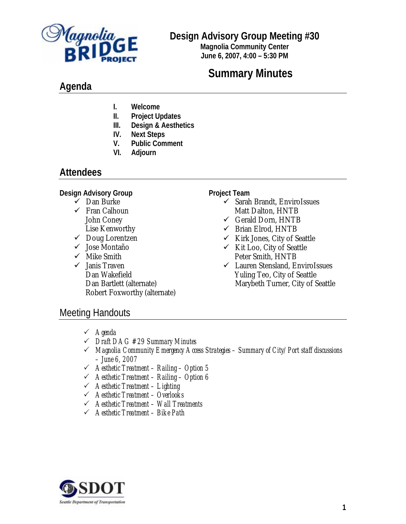

## **Design Advisory Group Meeting #30**

**Magnolia Community Center June 6, 2007, 4:00 – 5:30 PM**

# **Summary Minutes**

## **Agenda**

- **I. Welcome**
- **II. Project Updates**
- **III. Design & Aesthetics**
- **IV. Next Steps**
- **V. Public Comment**
- **VI. Adjourn**

## **Attendees**

## **Design Advisory Group**

- $\checkmark$  Dan Burke
- $\checkmark$  Fran Calhoun John Coney Lise Kenworthy
- $\checkmark$  Doug Lorentzen
- ◆ Jose Montaño
- $\checkmark$  Mike Smith
- $\checkmark$  Janis Traven Dan Wakefield Dan Bartlett (alternate) Robert Foxworthy (alternate)

#### **Project Team**

- $\checkmark$  Sarah Brandt, EnviroIssues Matt Dalton, HNTB
- $\checkmark$  Gerald Dorn, HNTB
- $\checkmark$  Brian Elrod, HNTB
- $\checkmark$  Kirk Jones, City of Seattle
- $\checkmark$  Kit Loo, City of Seattle Peter Smith, HNTB
- 9 Lauren Stensland, EnviroIssues Yuling Teo, City of Seattle Marybeth Turner, City of Seattle

## Meeting Handouts

- 3 *Agenda*
- 3 *Draft DAG #29 Summary Minutes*
- 3 *Magnolia Community Emergency Access Strategies Summary of City/Port staff discussions – June 6, 2007*
- 3 *Aesthetic Treatment Railing Option 5*
- 3 *Aesthetic Treatment Railing Option 6*
- 3 *Aesthetic Treatment Lighting*
- 3 *Aesthetic Treatment Overlooks*
- 3 *Aesthetic Treatment Wall Treatments*
- 3 *Aesthetic Treatment Bike Path*

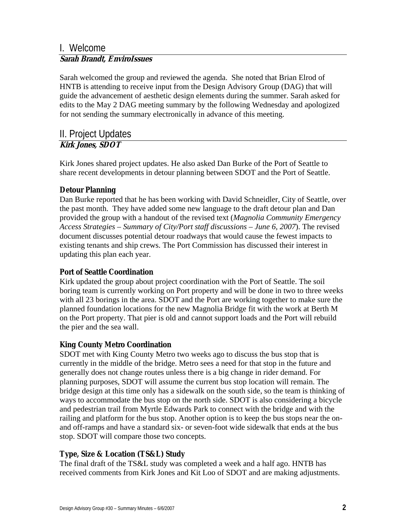## I. Welcome **Sarah Brandt, EnviroIssues**

Sarah welcomed the group and reviewed the agenda. She noted that Brian Elrod of HNTB is attending to receive input from the Design Advisory Group (DAG) that will guide the advancement of aesthetic design elements during the summer. Sarah asked for edits to the May 2 DAG meeting summary by the following Wednesday and apologized for not sending the summary electronically in advance of this meeting.

### II. Project Updates **Kirk Jones, SDOT**

Kirk Jones shared project updates. He also asked Dan Burke of the Port of Seattle to share recent developments in detour planning between SDOT and the Port of Seattle.

## **Detour Planning**

Dan Burke reported that he has been working with David Schneidler, City of Seattle, over the past month. They have added some new language to the draft detour plan and Dan provided the group with a handout of the revised text (*Magnolia Community Emergency Access Strategies – Summary of City/Port staff discussions – June 6, 2007*). The revised document discusses potential detour roadways that would cause the fewest impacts to existing tenants and ship crews. The Port Commission has discussed their interest in updating this plan each year.

## **Port of Seattle Coordination**

Kirk updated the group about project coordination with the Port of Seattle. The soil boring team is currently working on Port property and will be done in two to three weeks with all 23 borings in the area. SDOT and the Port are working together to make sure the planned foundation locations for the new Magnolia Bridge fit with the work at Berth M on the Port property. That pier is old and cannot support loads and the Port will rebuild the pier and the sea wall.

## **King County Metro Coordination**

SDOT met with King County Metro two weeks ago to discuss the bus stop that is currently in the middle of the bridge. Metro sees a need for that stop in the future and generally does not change routes unless there is a big change in rider demand. For planning purposes, SDOT will assume the current bus stop location will remain. The bridge design at this time only has a sidewalk on the south side, so the team is thinking of ways to accommodate the bus stop on the north side. SDOT is also considering a bicycle and pedestrian trail from Myrtle Edwards Park to connect with the bridge and with the railing and platform for the bus stop. Another option is to keep the bus stops near the onand off-ramps and have a standard six- or seven-foot wide sidewalk that ends at the bus stop. SDOT will compare those two concepts.

## **Type, Size & Location (TS&L) Study**

The final draft of the TS&L study was completed a week and a half ago. HNTB has received comments from Kirk Jones and Kit Loo of SDOT and are making adjustments.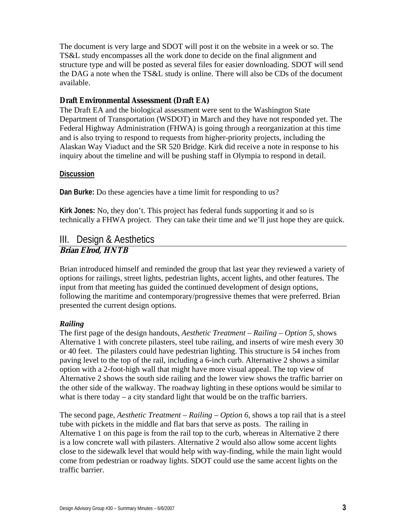The document is very large and SDOT will post it on the website in a week or so. The TS&L study encompasses all the work done to decide on the final alignment and structure type and will be posted as several files for easier downloading. SDOT will send the DAG a note when the TS&L study is online. There will also be CDs of the document available.

#### **Draft Environmental Assessment (Draft EA)**

The Draft EA and the biological assessment were sent to the Washington State Department of Transportation (WSDOT) in March and they have not responded yet. The Federal Highway Administration (FHWA) is going through a reorganization at this time and is also trying to respond to requests from higher-priority projects, including the Alaskan Way Viaduct and the SR 520 Bridge. Kirk did receive a note in response to his inquiry about the timeline and will be pushing staff in Olympia to respond in detail.

#### **Discussion**

**Dan Burke:** Do these agencies have a time limit for responding to us?

**Kirk Jones:** No, they don't. This project has federal funds supporting it and so is technically a FHWA project. They can take their time and we'll just hope they are quick.

#### III. Design & Aesthetics **Brian Elrod, HNTB**

Brian introduced himself and reminded the group that last year they reviewed a variety of options for railings, street lights, pedestrian lights, accent lights, and other features. The input from that meeting has guided the continued development of design options, following the maritime and contemporary/progressive themes that were preferred. Brian presented the current design options.

#### *Railing*

The first page of the design handouts, *Aesthetic Treatment – Railing – Option 5,* shows Alternative 1 with concrete pilasters, steel tube railing, and inserts of wire mesh every 30 or 40 feet. The pilasters could have pedestrian lighting. This structure is 54 inches from paving level to the top of the rail, including a 6-inch curb. Alternative 2 shows a similar option with a 2-foot-high wall that might have more visual appeal. The top view of Alternative 2 shows the south side railing and the lower view shows the traffic barrier on the other side of the walkway. The roadway lighting in these options would be similar to what is there today  $-$  a city standard light that would be on the traffic barriers.

The second page, *Aesthetic Treatment – Railing – Option 6,* shows a top rail that is a steel tube with pickets in the middle and flat bars that serve as posts. The railing in Alternative 1 on this page is from the rail top to the curb, whereas in Alternative 2 there is a low concrete wall with pilasters. Alternative 2 would also allow some accent lights close to the sidewalk level that would help with way-finding, while the main light would come from pedestrian or roadway lights. SDOT could use the same accent lights on the traffic barrier.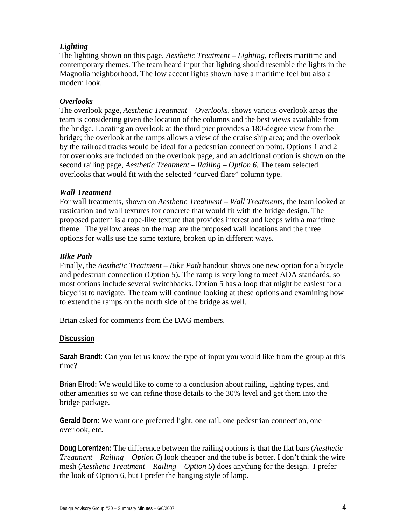#### *Lighting*

The lighting shown on this page, *Aesthetic Treatment – Lighting*, reflects maritime and contemporary themes. The team heard input that lighting should resemble the lights in the Magnolia neighborhood. The low accent lights shown have a maritime feel but also a modern look.

#### *Overlooks*

The overlook page, *Aesthetic Treatment – Overlooks*, shows various overlook areas the team is considering given the location of the columns and the best views available from the bridge. Locating an overlook at the third pier provides a 180-degree view from the bridge; the overlook at the ramps allows a view of the cruise ship area; and the overlook by the railroad tracks would be ideal for a pedestrian connection point. Options 1 and 2 for overlooks are included on the overlook page, and an additional option is shown on the second railing page, *Aesthetic Treatment – Railing – Option 6.* The team selected overlooks that would fit with the selected "curved flare" column type.

#### *Wall Treatment*

For wall treatments, shown on *Aesthetic Treatment – Wall Treatments*, the team looked at rustication and wall textures for concrete that would fit with the bridge design. The proposed pattern is a rope-like texture that provides interest and keeps with a maritime theme. The yellow areas on the map are the proposed wall locations and the three options for walls use the same texture, broken up in different ways.

#### *Bike Path*

Finally, the *Aesthetic Treatment – Bike Path* handout shows one new option for a bicycle and pedestrian connection (Option 5). The ramp is very long to meet ADA standards, so most options include several switchbacks. Option 5 has a loop that might be easiest for a bicyclist to navigate. The team will continue looking at these options and examining how to extend the ramps on the north side of the bridge as well.

Brian asked for comments from the DAG members.

#### **Discussion**

**Sarah Brandt:** Can you let us know the type of input you would like from the group at this time?

**Brian Elrod:** We would like to come to a conclusion about railing, lighting types, and other amenities so we can refine those details to the 30% level and get them into the bridge package.

**Gerald Dorn:** We want one preferred light, one rail, one pedestrian connection, one overlook, etc.

**Doug Lorentzen:** The difference between the railing options is that the flat bars (*Aesthetic Treatment – Railing – Option 6*) look cheaper and the tube is better. I don't think the wire mesh (*Aesthetic Treatment – Railing – Option 5*) does anything for the design. I prefer the look of Option 6, but I prefer the hanging style of lamp.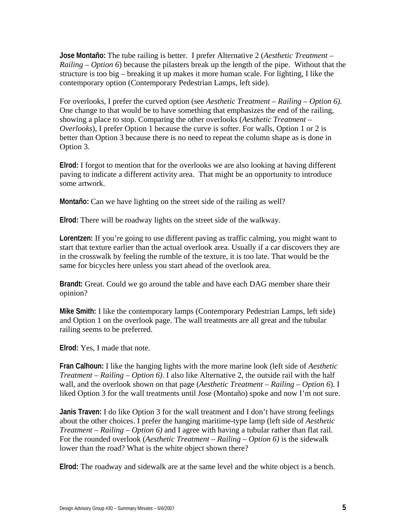**Jose Montaño:** The tube railing is better. I prefer Alternative 2 (*Aesthetic Treatment – Railing – Option 6*) because the pilasters break up the length of the pipe. Without that the structure is too big – breaking it up makes it more human scale. For lighting, I like the contemporary option (Contemporary Pedestrian Lamps, left side).

For overlooks, I prefer the curved option (see *Aesthetic Treatment – Railing – Option 6).*  One change to that would be to have something that emphasizes the end of the railing, showing a place to stop. Comparing the other overlooks (*Aesthetic Treatment – Overlooks*), I prefer Option 1 because the curve is softer. For walls, Option 1 or 2 is better than Option 3 because there is no need to repeat the column shape as is done in Option 3.

**Elrod:** I forgot to mention that for the overlooks we are also looking at having different paving to indicate a different activity area. That might be an opportunity to introduce some artwork.

**Montaño:** Can we have lighting on the street side of the railing as well?

**Elrod:** There will be roadway lights on the street side of the walkway.

**Lorentzen:** If you're going to use different paving as traffic calming, you might want to start that texture earlier than the actual overlook area. Usually if a car discovers they are in the crosswalk by feeling the rumble of the texture, it is too late. That would be the same for bicycles here unless you start ahead of the overlook area.

**Brandt:** Great. Could we go around the table and have each DAG member share their opinion?

**Mike Smith:** I like the contemporary lamps (Contemporary Pedestrian Lamps, left side) and Option 1 on the overlook page. The wall treatments are all great and the tubular railing seems to be preferred.

**Elrod:** Yes, I made that note.

**Fran Calhoun:** I like the hanging lights with the more marine look (left side of *Aesthetic Treatment – Railing – Option 6)*. I also like Alternative 2, the outside rail with the half wall, and the overlook shown on that page (*Aesthetic Treatment – Railing – Option 6*). I liked Option 3 for the wall treatments until Jose (Montaño) spoke and now I'm not sure.

**Janis Traven:** I do like Option 3 for the wall treatment and I don't have strong feelings about the other choices. I prefer the hanging maritime-type lamp (left side of *Aesthetic Treatment – Railing – Option 6)* and I agree with having a tubular rather than flat rail. For the rounded overlook (*Aesthetic Treatment – Railing – Option 6)* is the sidewalk lower than the road? What is the white object shown there?

**Elrod:** The roadway and sidewalk are at the same level and the white object is a bench.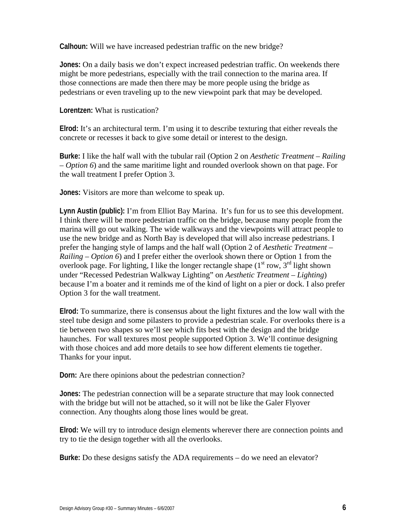**Calhoun:** Will we have increased pedestrian traffic on the new bridge?

**Jones:** On a daily basis we don't expect increased pedestrian traffic. On weekends there might be more pedestrians, especially with the trail connection to the marina area. If those connections are made then there may be more people using the bridge as pedestrians or even traveling up to the new viewpoint park that may be developed.

**Lorentzen:** What is rustication?

**Elrod:** It's an architectural term. I'm using it to describe texturing that either reveals the concrete or recesses it back to give some detail or interest to the design.

**Burke:** I like the half wall with the tubular rail (Option 2 on *Aesthetic Treatment – Railing – Option 6*) and the same maritime light and rounded overlook shown on that page. For the wall treatment I prefer Option 3.

**Jones:** Visitors are more than welcome to speak up.

**Lynn Austin (public):** I'm from Elliot Bay Marina. It's fun for us to see this development. I think there will be more pedestrian traffic on the bridge, because many people from the marina will go out walking. The wide walkways and the viewpoints will attract people to use the new bridge and as North Bay is developed that will also increase pedestrians. I prefer the hanging style of lamps and the half wall (Option 2 of *Aesthetic Treatment – Railing – Option 6*) and I prefer either the overlook shown there or Option 1 from the overlook page. For lighting, I like the longer rectangle shape  $(1<sup>st</sup> row, 3<sup>rd</sup>$  light shown under "Recessed Pedestrian Walkway Lighting" on *Aesthetic Treatment – Lighting*) because I'm a boater and it reminds me of the kind of light on a pier or dock. I also prefer Option 3 for the wall treatment.

**Elrod:** To summarize, there is consensus about the light fixtures and the low wall with the steel tube design and some pilasters to provide a pedestrian scale. For overlooks there is a tie between two shapes so we'll see which fits best with the design and the bridge haunches. For wall textures most people supported Option 3. We'll continue designing with those choices and add more details to see how different elements tie together. Thanks for your input.

**Dorn:** Are there opinions about the pedestrian connection?

**Jones:** The pedestrian connection will be a separate structure that may look connected with the bridge but will not be attached, so it will not be like the Galer Flyover connection. Any thoughts along those lines would be great.

**Elrod:** We will try to introduce design elements wherever there are connection points and try to tie the design together with all the overlooks.

**Burke:** Do these designs satisfy the ADA requirements – do we need an elevator?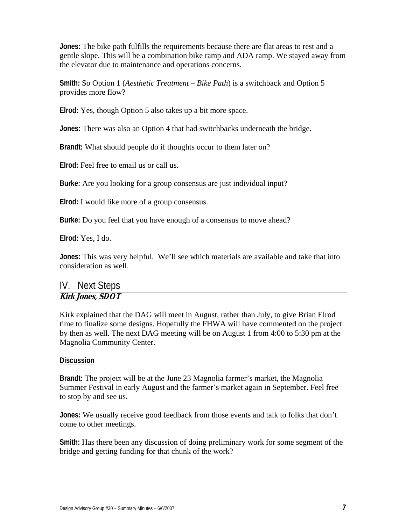**Jones:** The bike path fulfills the requirements because there are flat areas to rest and a gentle slope. This will be a combination bike ramp and ADA ramp. We stayed away from the elevator due to maintenance and operations concerns.

**Smith:** So Option 1 (*Aesthetic Treatment – Bike Path*) is a switchback and Option 5 provides more flow?

**Elrod:** Yes, though Option 5 also takes up a bit more space.

**Jones:** There was also an Option 4 that had switchbacks underneath the bridge.

**Brandt:** What should people do if thoughts occur to them later on?

**Elrod:** Feel free to email us or call us.

**Burke:** Are you looking for a group consensus are just individual input?

**Elrod:** I would like more of a group consensus.

**Burke:** Do you feel that you have enough of a consensus to move ahead?

**Elrod:** Yes, I do.

**Jones:** This was very helpful. We'll see which materials are available and take that into consideration as well.

## IV. Next Steps **Kirk Jones, SDOT**

Kirk explained that the DAG will meet in August, rather than July, to give Brian Elrod time to finalize some designs. Hopefully the FHWA will have commented on the project by then as well. The next DAG meeting will be on August 1 from 4:00 to 5:30 pm at the Magnolia Community Center.

#### **Discussion**

**Brandt:** The project will be at the June 23 Magnolia farmer's market, the Magnolia Summer Festival in early August and the farmer's market again in September. Feel free to stop by and see us.

**Jones:** We usually receive good feedback from those events and talk to folks that don't come to other meetings.

**Smith:** Has there been any discussion of doing preliminary work for some segment of the bridge and getting funding for that chunk of the work?